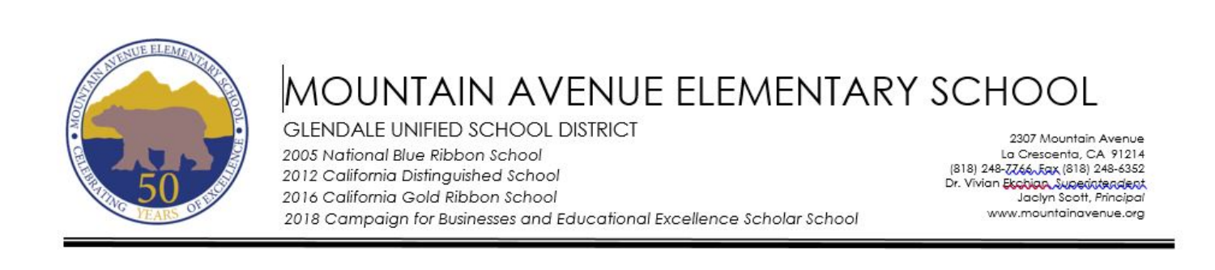

# MOUNTAIN AVENUE ELEMENTARY SCHOOL **GLENDALE UNIFIED SCHOOL DISTRICT** 2005 National Blue Ribbon School

2012 California Distinguished School 2016 California Gold Ribbon School

2307 Mountain Avenue La Crescenta, CA 91214 (818) 248-7766, Eqx (818) 248-6352 Dr. Vivian Ekobian Superintendent Jaclyn Scott, Principal www.mountainavenue.org

2018 Campaian for Businesses and Educational Excellence Scholar School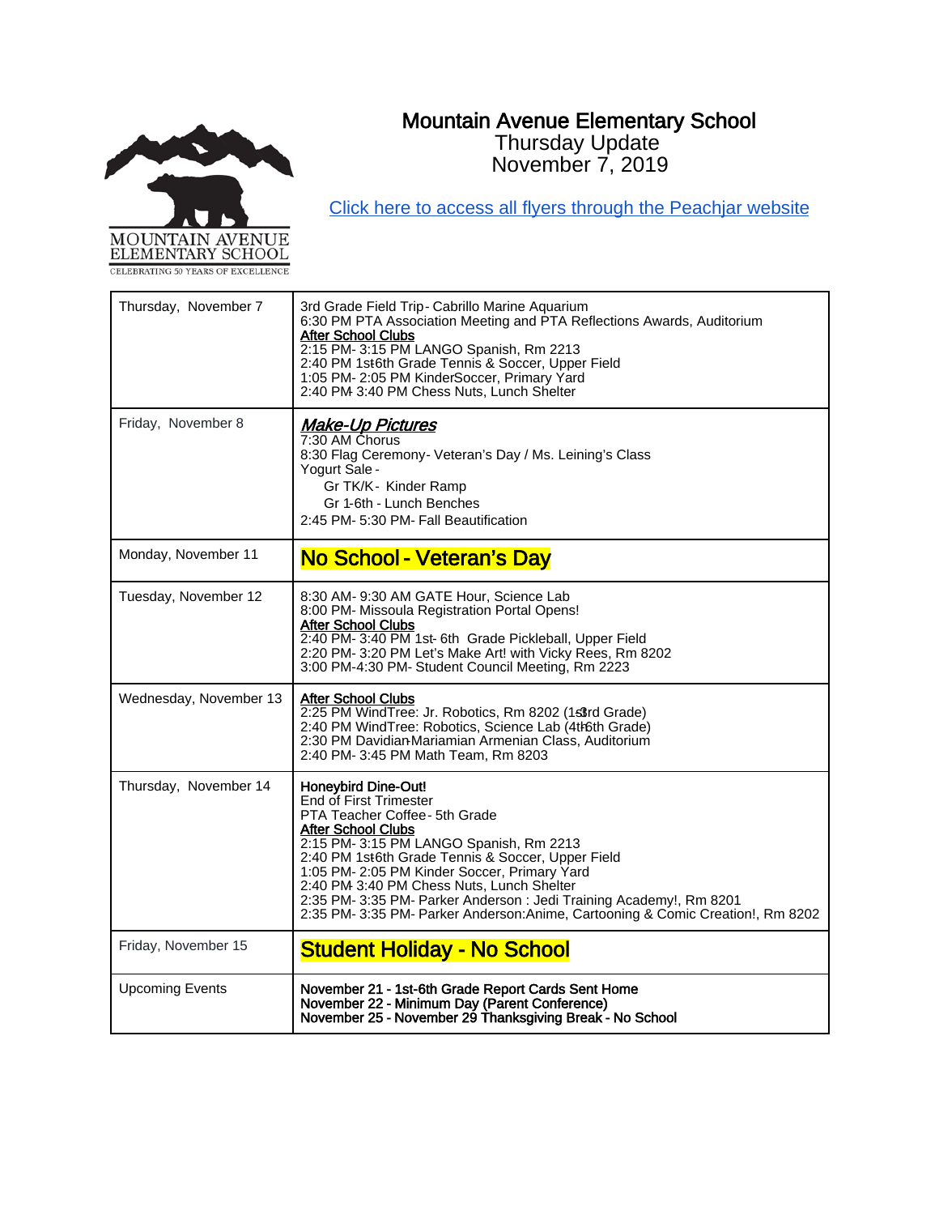# Mountain Avenue Elementary School Thursday Update

November 7, 2019



[Click here to access all flyers through the Peachjar website](https://app.peachjar.com/flyers/all/schools/55122)

| Thursday, November 7   | 3rd Grade Field Trip- Cabrillo Marine Aquarium<br>6:30 PM PTA Association Meeting and PTA Reflections Awards, Auditorium<br><b>After School Clubs</b><br>2:15 PM- 3:15 PM LANGO Spanish, Rm 2213<br>2:40 PM 1st6th Grade Tennis & Soccer, Upper Field<br>1:05 PM- 2:05 PM KinderSoccer, Primary Yard<br>2:40 PM 3:40 PM Chess Nuts, Lunch Shelter                                                                                                                        |
|------------------------|--------------------------------------------------------------------------------------------------------------------------------------------------------------------------------------------------------------------------------------------------------------------------------------------------------------------------------------------------------------------------------------------------------------------------------------------------------------------------|
| Friday, November 8     | <b>Make-Up Pictures</b><br>7:30 AM Chorus<br>8:30 Flag Ceremony- Veteran's Day / Ms. Leining's Class<br>Yogurt Sale -<br>Gr TK/K- Kinder Ramp<br>Gr 1-6th - Lunch Benches<br>2:45 PM- 5:30 PM- Fall Beautification                                                                                                                                                                                                                                                       |
| Monday, November 11    | No School - Veteran's Day                                                                                                                                                                                                                                                                                                                                                                                                                                                |
| Tuesday, November 12   | 8:30 AM- 9:30 AM GATE Hour, Science Lab<br>8:00 PM- Missoula Registration Portal Opens!<br><b>After School Clubs</b><br>2:40 PM-3:40 PM 1st-6th Grade Pickleball, Upper Field<br>2:20 PM- 3:20 PM Let's Make Art! with Vicky Rees, Rm 8202<br>3:00 PM-4:30 PM- Student Council Meeting, Rm 2223                                                                                                                                                                          |
| Wednesday, November 13 | <b>After School Clubs</b><br>2:25 PM WindTree: Jr. Robotics, Rm 8202 (1s3rd Grade)<br>2:40 PM WindTree: Robotics, Science Lab (4th6th Grade)<br>2:30 PM Davidian-Mariamian Armenian Class, Auditorium<br>2:40 PM- 3:45 PM Math Team, Rm 8203                                                                                                                                                                                                                             |
| Thursday, November 14  | <b>Honeybird Dine-Out!</b><br>End of First Trimester<br>PTA Teacher Coffee - 5th Grade<br><b>After School Clubs</b><br>2:15 PM- 3:15 PM LANGO Spanish, Rm 2213<br>2:40 PM 1st6th Grade Tennis & Soccer, Upper Field<br>1:05 PM- 2:05 PM Kinder Soccer, Primary Yard<br>2:40 PM 3:40 PM Chess Nuts, Lunch Shelter<br>2:35 PM-3:35 PM- Parker Anderson: Jedi Training Academy!, Rm 8201<br>2:35 PM- 3:35 PM- Parker Anderson: Anime, Cartooning & Comic Creation!, Rm 8202 |
| Friday, November 15    | <b>Student Holiday - No School</b>                                                                                                                                                                                                                                                                                                                                                                                                                                       |
| <b>Upcoming Events</b> | November 21 - 1st-6th Grade Report Cards Sent Home<br>November 22 - Minimum Day (Parent Conference)<br>November 25 - November 29 Thanksgiving Break - No School                                                                                                                                                                                                                                                                                                          |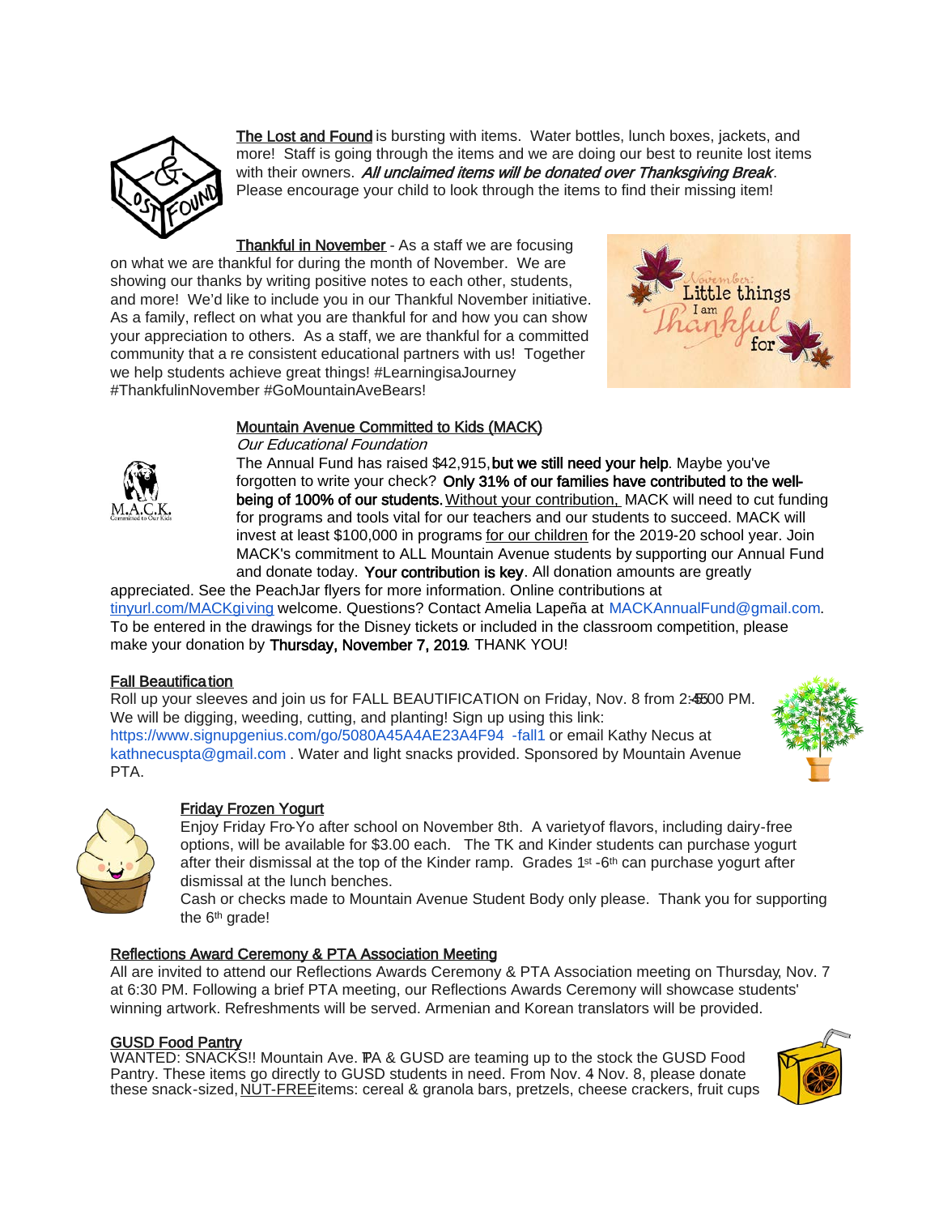

The Lost and Found is bursting with items. Water bottles, lunch boxes, jackets, and more! Staff is going through the items and we are doing our best to reunite lost items with their owners. All unclaimed items will be donated over Thanksgiving Break. Please encourage your child to look through the items to find their missing item!

**Thankful in November** - As a staff we are focusing on what we are thankful for during the month of November. We are showing our thanks by writing positive notes to each other, students, and more! We'd like to include you in our Thankful November initiative. As a family, reflect on what you are thankful for and how you can show your appreciation to others. As a staff, we are thankful for a committed community that a re consistent educational partners with us! Together we help students achieve great things! #LearningisaJourney #ThankfulinNovember #GoMountainAveBears!



# Mountain Avenue Committed to Kids (MACK)



The Annual Fund has raised \$42,915, but we still need your help. Maybe you've forgotten to write your check? Only 31% of our families have contributed to the wellbeing of 100% of our students. Without your contribution, MACK will need to cut funding for programs and tools vital for our teachers and our students to succeed. MACK will invest at least \$100,000 in programs for our children for the 2019-20 school year. Join MACK's commitment to ALL Mountain Avenue students by supporting our Annual Fund and donate today. Your contribution is key. All donation amounts are greatly

appreciated. See the PeachJar flyers for more information. Online contributions at [tinyurl.com/MACKgiving](https://tinyurl.com/MACKgiving) welcome. Questions? Contact Amelia Lapeña at MACKAnnualFund@gmail.com. To be entered in the drawings for the Disney tickets or included in the classroom competition, please make your donation by Thursday, November 7, 2019. THANK YOU!

#### Fall Beautification

Roll up your sleeves and join us for FALL BEAUTIFICATION on Friday, Nov. 8 from 2:45:00 PM. We will be digging, weeding, cutting, and planting! Sign up using this link: [https://www.signupgenius.com/go/5080A45A4AE23A4F94](https://www.signupgenius.com/go/5080A45A4AE23A4F94-fall1) -fall1 or email Kathy Necus at kathnecuspta@gmail.com . Water and light snacks provided. Sponsored by Mountain Avenue PTA.





# Friday Frozen Yogurt

Enjoy Friday Fro-Yo after school on November 8th. A variety of flavors, including dairy-free options, will be available for \$3.00 each. The TK and Kinder students can purchase yogurt after their dismissal at the top of the Kinder ramp. Grades  $1st - 6th$  can purchase yogurt after dismissal at the lunch benches.

Cash or checks made to Mountain Avenue Student Body only please. Thank you for supporting the 6<sup>th</sup> grade!

# Reflections Award Ceremony & PTA Association Meeting

All are invited to attend our Reflections Awards Ceremony & PTA Association meeting on Thursday, Nov. 7 at 6:30 PM. Following a brief PTA meeting, our Reflections Awards Ceremony will showcase students' winning artwork. Refreshments will be served. Armenian and Korean translators will be provided.

# GUSD Food Pantry

WANTED: SNACKS!! Mountain Ave. PA & GUSD are teaming up to the stock the GUSD Food Pantry. These items go directly to GUSD students in need. From Nov. 4 Nov. 8, please donate these snack-sized, NUT-FREEitems: cereal & granola bars, pretzels, cheese crackers, fruit cups

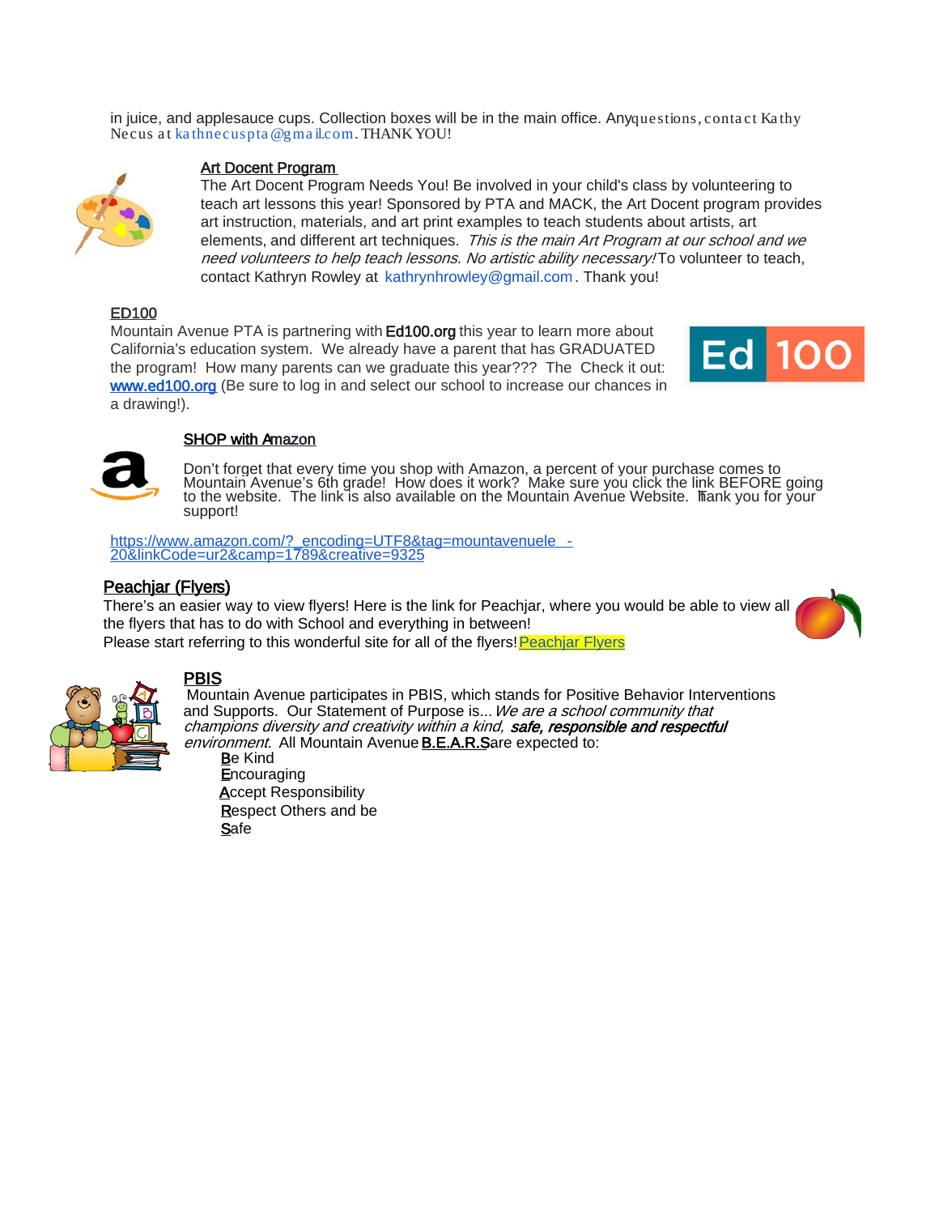in juice, and applesauce cups. Collection boxes will be in the main office. Any questions, contact Kathy Necus at kathnecuspta @gma il.com. THANK YOU!



#### Art Docent Program

The Art Docent Program Needs You! Be involved in your child's class by volunteering to teach art lessons this year! Sponsored by PTA and MACK, the Art Docent program provides art instruction, materials, and art print examples to teach students about artists, art elements, and different art techniques. This is the main Art Program at our school and we need volunteers to help teach lessons. No artistic ability necessary! To volunteer to teach, contact Kathryn Rowley at kathrynhrowley@gmail.com . Thank you!

## ED100

Mountain Avenue PTA is partnering with **Ed100.org** this year to learn more about California's education system. We already have a parent that has GRADUATED the program! How many parents can we graduate this year??? The Check it out: [www.ed100.org](http://www.ed100.org/) (Be sure to log in and select our school to increase our chances in a drawing!).





# **SHOP with Amazon**

Don't forget that every time you shop with Amazon, a percent of your purchase comes to Mountain Avenue's 6th grade! How does it work? Make sure you click the link BEFORE going to the website. The link is also available on the Mountain Avenue Website. Thank you for your support!

[https://www.amazon.com/?\\_encoding=UTF8&tag=mountavenuele](https://www.amazon.com/?_encoding=UTF8&tag=mountavenuele-20&linkCode=ur2&camp=1789&creative=9325) -<br>20&linkCode=ur2&camp=1789&creative=9325

# Peachjar (Flyers)

There's an easier way to view flyers! Here is the link for Peachjar, where you would be able to view all the flyers that has to do with School and everything in between! Please start referring to this wonderful site for all of the flyers! Peachiar Flyers





PBIS<br>Mountain Avenue participates in PBIS, which stands for Positive Behavior Interventions and Supports. Our Statement of Purpose is... We are a school community that champions diversity and creativity within a kind, safe, responsible and respectful environment. All Mountain Avenue **B.E.A.R.S**are expected to:

Be Kind **Encouraging Accept Responsibility** Respect Others and be **Safe**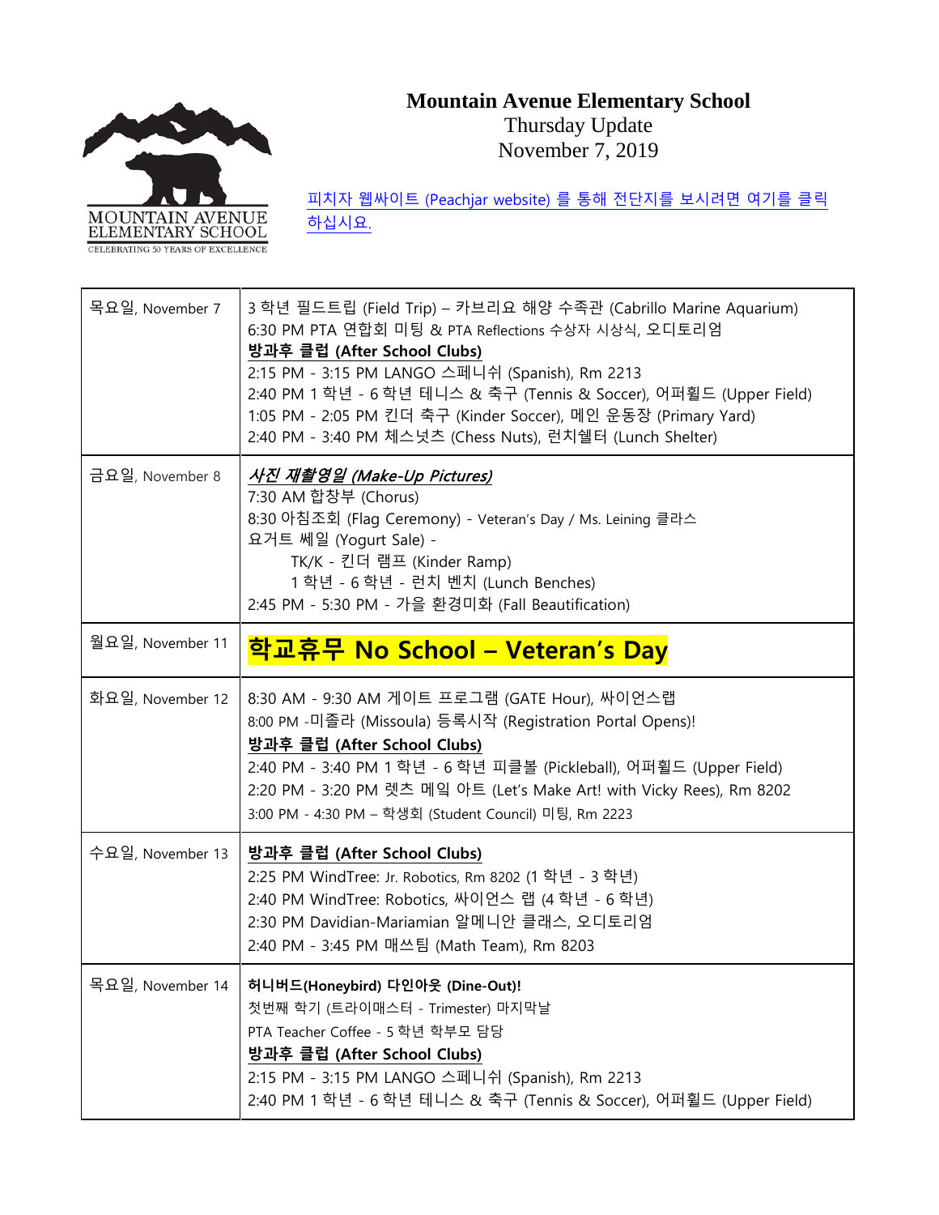# **Mountain Avenue Elementary School**



Thursday Update November 7, 2019

피치자 웹싸이트 [\(Peachjar website\)](https://app.peachjar.com/flyers/all/schools/55122) 를 통해 전단지를 보시려면 여기를 클릭 [하십시요](https://app.peachjar.com/flyers/all/schools/55122).

| 목요일, November 7  | 3 학년 필드트립 (Field Trip) – 카브리요 해양 수족관 (Cabrillo Marine Aquarium)<br>6:30 PM PTA 연합회 미팅 & PTA Reflections 수상자 시상식, 오디토리엄<br>방과후 클럽 (After School Clubs)<br>2:15 PM - 3:15 PM LANGO 스페니쉬 (Spanish), Rm 2213<br>2:40 PM 1 학년 - 6 학년 테니스 & 축구 (Tennis & Soccer), 어퍼휠드 (Upper Field)<br>1:05 PM - 2:05 PM 킨더 축구 (Kinder Soccer), 메인 운동장 (Primary Yard)<br>2:40 PM - 3:40 PM 체스넛츠 (Chess Nuts), 런치쉘터 (Lunch Shelter) |
|------------------|---------------------------------------------------------------------------------------------------------------------------------------------------------------------------------------------------------------------------------------------------------------------------------------------------------------------------------------------------------------------------------------------------------------|
| 금요일, November 8  | 사진 재촬영일 (Make-Up Pictures)<br>7:30 AM 합창부 (Chorus)<br>8:30 아침조회 (Flag Ceremony) - Veteran's Day / Ms. Leining 클라스<br>요거트 쎄일 (Yogurt Sale) -<br>TK/K - 킨더 램프 (Kinder Ramp)<br>1 학년 - 6 학년 - 런치 벤치 (Lunch Benches)<br>2:45 PM - 5:30 PM - 가을 환경미화 (Fall Beautification)                                                                                                                                         |
| 월요일, November 11 | 학교휴무 No School – Veteran's Day                                                                                                                                                                                                                                                                                                                                                                                |
| 화요일, November 12 | 8:30 AM - 9:30 AM 게이트 프로그램 (GATE Hour), 싸이언스랩<br>8:00 PM -미졸라 (Missoula) 등록시작 (Registration Portal Opens)!<br>방과후 클럽 (After School Clubs)<br>2:40 PM - 3:40 PM 1 학년 - 6 학년 피클볼 (Pickleball), 어퍼휠드 (Upper Field)<br>2:20 PM - 3:20 PM 렛츠 메잌 아트 (Let's Make Art! with Vicky Rees), Rm 8202<br>3:00 PM - 4:30 PM – 학생회 (Student Council) 미팅, Rm 2223                                                             |
| 수요일, November 13 | 방과후 클럽 (After School Clubs)<br>2:25 PM WindTree: Jr. Robotics, Rm 8202 (1 학년 - 3 학년)<br>2:40 PM WindTree: Robotics, 싸이언스 랩 (4 학년 - 6 학년)<br>2:30 PM Davidian-Mariamian 알메니안 클래스, 오디토리엄<br>2:40 PM - 3:45 PM 매쓰팀 (Math Team), Rm 8203                                                                                                                                                                          |
| 목요일, November 14 | 허니버드(Honeybird) 다인아웃 (Dine-Out)!<br>첫번째 학기 (트라이매스터 - Trimester) 마지막날<br>PTA Teacher Coffee - 5 학년 학부모 담당<br>방과후 클럽 (After School Clubs)<br>2:15 PM - 3:15 PM LANGO 스페니쉬 (Spanish), Rm 2213<br>2:40 PM 1 학년 - 6 학년 테니스 & 축구 (Tennis & Soccer), 어퍼휠드 (Upper Field)                                                                                                                                              |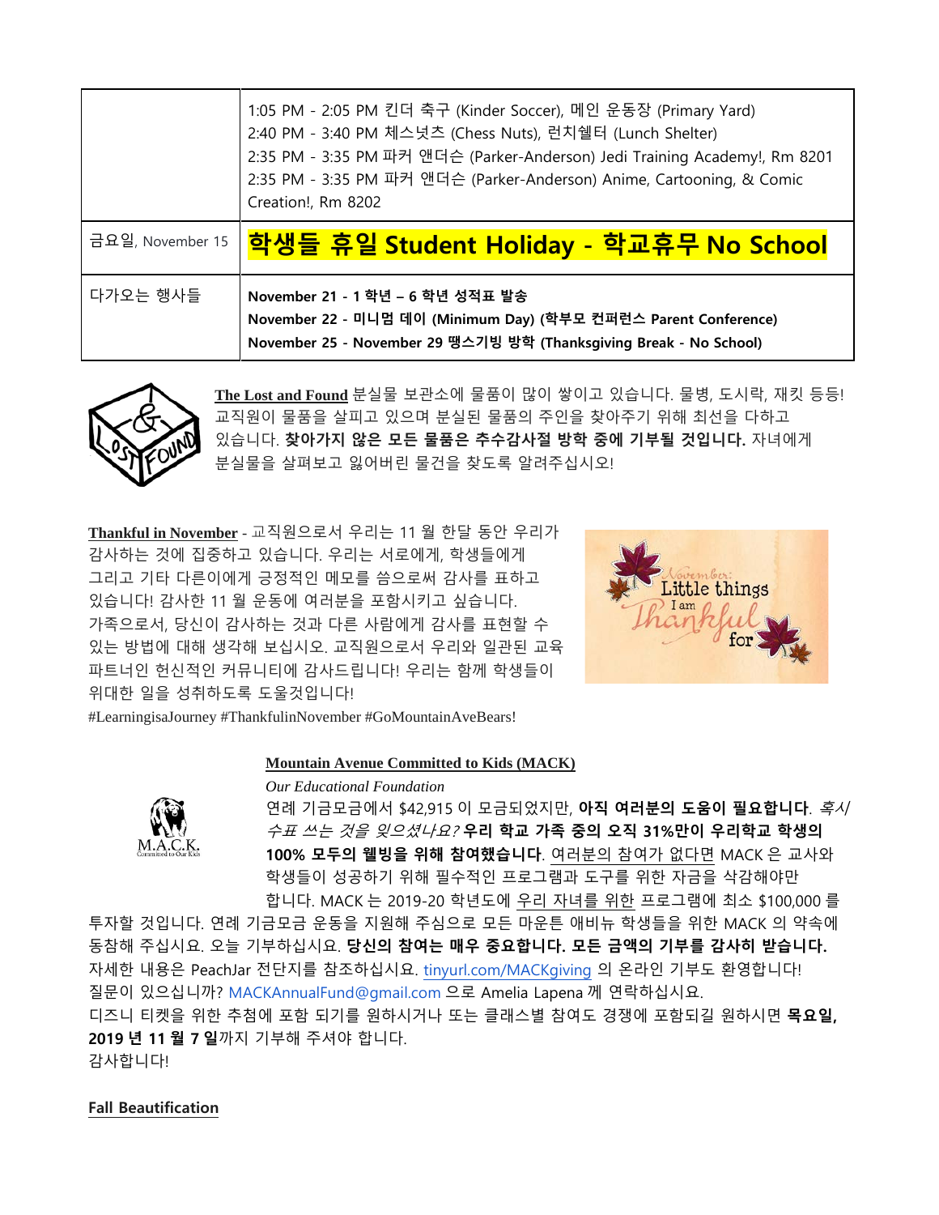|          | 1:05 PM - 2:05 PM 킨더 축구 (Kinder Soccer), 메인 운동장 (Primary Yard)<br>2:40 PM - 3:40 PM 체스넛츠 (Chess Nuts), 런치쉘터 (Lunch Shelter)<br>2:35 PM - 3:35 PM 파커 앤더슨 (Parker-Anderson) Jedi Training Academy!, Rm 8201<br>2:35 PM - 3:35 PM 파커 앤더슨 (Parker-Anderson) Anime, Cartooning, & Comic<br>Creation!, Rm 8202 |
|----------|----------------------------------------------------------------------------------------------------------------------------------------------------------------------------------------------------------------------------------------------------------------------------------------------------------|
|          | <sup>금요일, November 15   <mark>학생들 휴일 Student Holiday - 학교휴무 No School</mark></sup>                                                                                                                                                                                                                       |
| 다가오는 행사들 | November 21 - 1 학년 - 6 학년 성적표 발송                                                                                                                                                                                                                                                                         |



**The Lost and Found** 분실물 보관소에 물품이 많이 쌓이고 있습니다. 물병, 도시락, 재킷 등등! 교직원이 물품을 살피고 있으며 분실된 물품의 주인을 찾아주기 위해 최선을 다하고 있습니다. **찾아가지 않은 모든 물품은 추수감사절 방학 중에 기부될 것입니다.** 자녀에게 분실물을 살펴보고 잃어버린 물건을 찾도록 알려주십시오!

**Thankful in November** - 교직원으로서 우리는 11 월 한달 동안 우리가 감사하는 것에 집중하고 있습니다. 우리는 서로에게, 학생들에게 그리고 기타 다른이에게 긍정적인 메모를 씀으로써 감사를 표하고 있습니다! 감사한 11 월 운동에 여러분을 포함시키고 싶습니다. 가족으로서, 당신이 감사하는 것과 다른 사람에게 감사를 표현할 수 있는 방법에 대해 생각해 보십시오. 교직원으로서 우리와 일관된 교육 파트너인 헌신적인 커뮤니티에 감사드립니다! 우리는 함께 학생들이 위대한 일을 성취하도록 도울것입니다!



#LearningisaJourney #ThankfulinNovember #GoMountainAveBears!

### **Mountain Avenue Committed to Kids (MACK)**



*Our Educational Foundation* 연례 기금모금에서 \$42,915 이 모금되었지만, **아직 여러분의 도움이 필요합니다**. 혹시 수표 쓰는 것을 잊으셨나요? **우리 학교 가족 중의 오직 31%만이 우리학교 학생의 100% 모두의 웰빙을 위해 참여했습니다**. 여러분의 참여가 없다면 MACK 은 교사와 학생들이 성공하기 위해 필수적인 프로그램과 도구를 위한 자금을 삭감해야만 합니다. MACK 는 2019-20 학년도에 우리 자녀를 위한 프로그램에 최소 \$100,000 를

투자할 것입니다. 연례 기금모금 운동을 지원해 주심으로 모든 마운튼 애비뉴 학생들을 위한 MACK 의 약속에 동참해 주십시요. 오늘 기부하십시요. **당신의 참여는 매우 중요합니다. 모든 금액의 기부를 감사히 받습니다.** 자세한 내용은 PeachJar 전단지를 참조하십시요. [tinyurl.com/MACKgiving](https://tinyurl.com/MACKgiving) 의 온라인 기부도 환영합니다! 질문이 있으십니까? MACKAnnualFund@gmail.com 으로 Amelia Lapena 께 연락하십시요. 디즈니 티켓을 위한 추첨에 포함 되기를 원하시거나 또는 클래스별 참여도 경쟁에 포함되길 원하시면 **목요일, 2019 년 11 월 7 일**까지 기부해 주셔야 합니다.

감사합니다!

#### **Fall Beautification**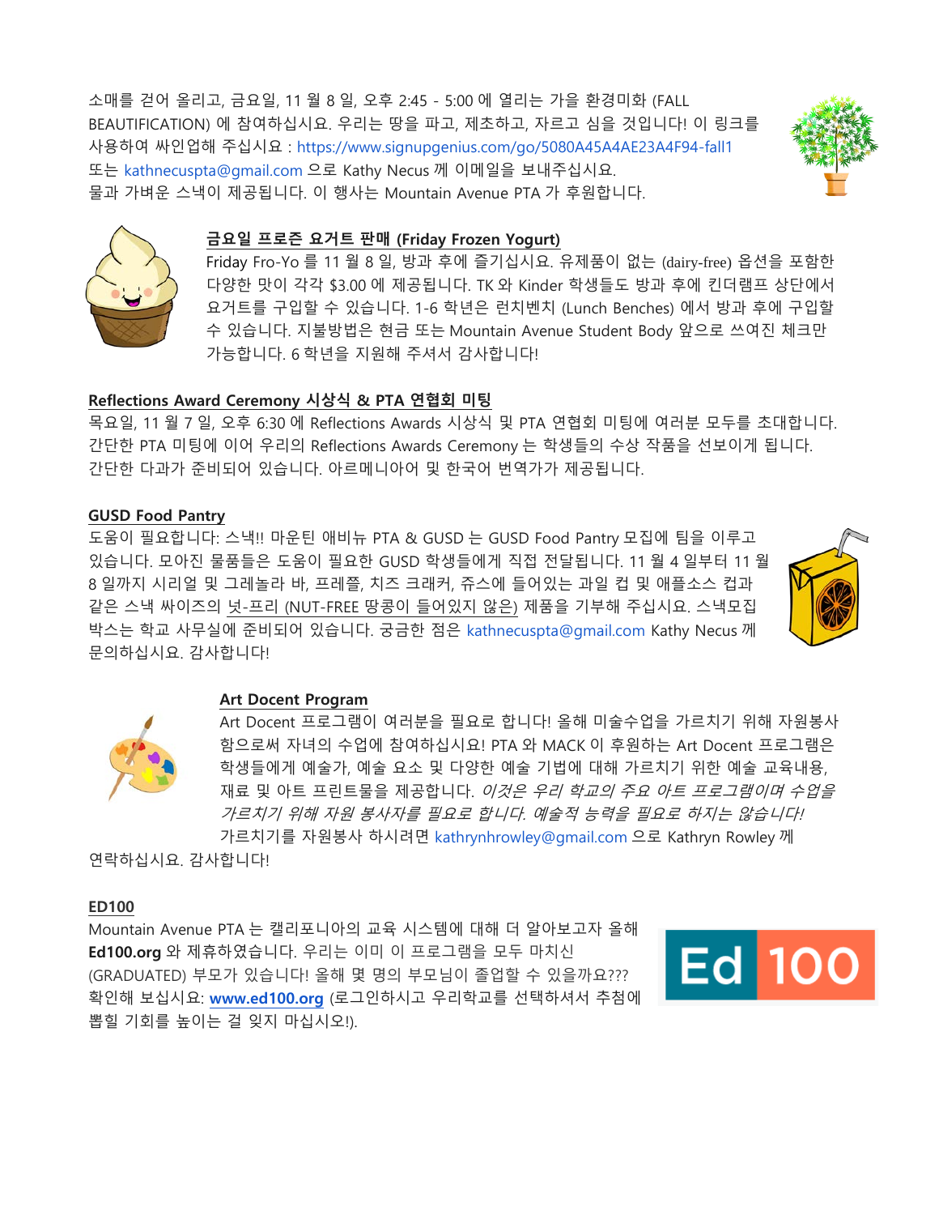소매를 걷어 올리고, 금요일, 11 월 8 일, 오후 2:45 - 5:00 에 열리는 가을 환경미화 (FALL BEAUTIFICATION) 에 참여하십시요. 우리는 땅을 파고, 제초하고, 자르고 심을 것입니다! 이 링크를 사용하여 싸인업해 주십시요 :<https://www.signupgenius.com/go/5080A45A4AE23A4F94-fall1> 또는 kathnecuspta@gmail.com 으로 Kathy Necus 께 이메일을 보내주십시요. 물과 가벼운 스낵이 제공됩니다. 이 행사는 Mountain Avenue PTA 가 후원합니다.





#### **금요일 프로즌 요거트 판매 (Friday Frozen Yogurt)**

Friday Fro-Yo 를 11 월 8 일, 방과 후에 즐기십시요. 유제품이 없는 (dairy-free) 옵션을 포함한 다양한 맛이 각각 \$3.00 에 제공됩니다. TK 와 Kinder 학생들도 방과 후에 킨더램프 상단에서 요거트를 구입할 수 있습니다. 1-6 학년은 런치벤치 (Lunch Benches) 에서 방과 후에 구입할 수 있습니다. 지불방법은 현금 또는 Mountain Avenue Student Body 앞으로 쓰여진 체크만 가능합니다. 6 학년을 지원해 주셔서 감사합니다!

### **Reflections Award Ceremony 시상식 & PTA 연협회 미팅**

목요일, 11 월 7 일, 오후 6:30 에 Reflections Awards 시상식 및 PTA 연협회 미팅에 여러분 모두를 초대합니다. 간단한 PTA 미팅에 이어 우리의 Reflections Awards Ceremony 는 학생들의 수상 작품을 선보이게 됩니다. 간단한 다과가 준비되어 있습니다. 아르메니아어 및 한국어 번역가가 제공됩니다.

#### **GUSD Food Pantry**

도움이 필요합니다: 스낵!! 마운틴 애비뉴 PTA & GUSD 는 GUSD Food Pantry 모집에 팀을 이루고 있습니다. 모아진 물품들은 도움이 필요한 GUSD 학생들에게 직접 전달됩니다. 11 월 4 일부터 11 월 8 일까지 시리얼 및 그레놀라 바, 프레쯜, 치즈 크래커, 쥬스에 들어있는 과일 컵 및 애플소스 컵과 같은 스낵 싸이즈의 넛-프리 (NUT-FREE 땅콩이 들어있지 않은) 제품을 기부해 주십시요. 스낵모집 박스는 학교 사무실에 준비되어 있습니다. 궁금한 점은 kathnecuspta@gmail.com Kathy Necus 께 문의하십시요. 감사합니다!



#### **Art Docent Program**

Art Docent 프로그램이 여러분을 필요로 합니다! 올해 미술수업을 가르치기 위해 자원봉사 함으로써 자녀의 수업에 참여하십시요! PTA 와 MACK 이 후원하는 Art Docent 프로그램은 학생들에게 예술가, 예술 요소 및 다양한 예술 기법에 대해 가르치기 위한 예술 교육내용, 재료 및 아트 프린트물을 제공합니다. 이것은 우리 학교의 주요 아트 프로그램이며 수업을 가르치기 위해 자원 봉사자를 필요로 합니다. 예술적 능력을 필요로 하지는 않습니다! 가르치기를 자원봉사 하시려면 kathrynhrowley@gmail.com 으로 Kathryn Rowley 께

연락하십시요. 감사합니다!

#### **ED100**

Mountain Avenue PTA 는 캘리포니아의 교육 시스템에 대해 더 알아보고자 올해 **Ed100.org** 와 제휴하였습니다. 우리는 이미 이 프로그램을 모두 마치신 (GRADUATED) 부모가 있습니다! 올해 몇 명의 부모님이 졸업할 수 있을까요??? 확인해 보십시요: **[www.ed100.org](http://www.ed100.org/)** (로그인하시고 우리학교를 선택하셔서 추첨에 뽑힐 기회를 높이는 걸 잊지 마십시오!).